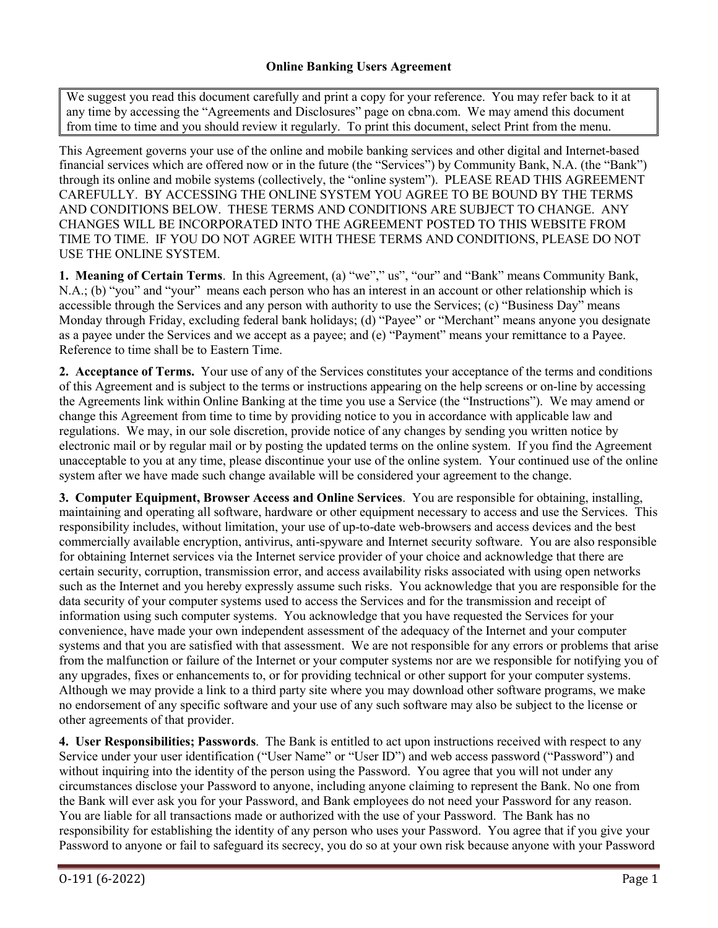We suggest you read this document carefully and print a copy for your reference. You may refer back to it at any time by accessing the "Agreements and Disclosures" page on cbna.com. We may amend this document from time to time and you should review it regularly. To print this document, select Print from the menu.

This Agreement governs your use of the online and mobile banking services and other digital and Internet-based financial services which are offered now or in the future (the "Services") by Community Bank, N.A. (the "Bank") through its online and mobile systems (collectively, the "online system"). PLEASE READ THIS AGREEMENT CAREFULLY. BY ACCESSING THE ONLINE SYSTEM YOU AGREE TO BE BOUND BY THE TERMS AND CONDITIONS BELOW. THESE TERMS AND CONDITIONS ARE SUBJECT TO CHANGE. ANY CHANGES WILL BE INCORPORATED INTO THE AGREEMENT POSTED TO THIS WEBSITE FROM TIME TO TIME. IF YOU DO NOT AGREE WITH THESE TERMS AND CONDITIONS, PLEASE DO NOT USE THE ONLINE SYSTEM.

**1. Meaning of Certain Terms**. In this Agreement, (a) "we"," us", "our" and "Bank" means Community Bank, N.A.; (b) "you" and "your" means each person who has an interest in an account or other relationship which is accessible through the Services and any person with authority to use the Services; (c) "Business Day" means Monday through Friday, excluding federal bank holidays; (d) "Payee" or "Merchant" means anyone you designate as a payee under the Services and we accept as a payee; and (e) "Payment" means your remittance to a Payee. Reference to time shall be to Eastern Time.

**2. Acceptance of Terms.** Your use of any of the Services constitutes your acceptance of the terms and conditions of this Agreement and is subject to the terms or instructions appearing on the help screens or on-line by accessing the Agreements link within Online Banking at the time you use a Service (the "Instructions"). We may amend or change this Agreement from time to time by providing notice to you in accordance with applicable law and regulations. We may, in our sole discretion, provide notice of any changes by sending you written notice by electronic mail or by regular mail or by posting the updated terms on the online system. If you find the Agreement unacceptable to you at any time, please discontinue your use of the online system. Your continued use of the online system after we have made such change available will be considered your agreement to the change.

**3. Computer Equipment, Browser Access and Online Services**. You are responsible for obtaining, installing, maintaining and operating all software, hardware or other equipment necessary to access and use the Services. This responsibility includes, without limitation, your use of up-to-date web-browsers and access devices and the best commercially available encryption, antivirus, anti-spyware and Internet security software. You are also responsible for obtaining Internet services via the Internet service provider of your choice and acknowledge that there are certain security, corruption, transmission error, and access availability risks associated with using open networks such as the Internet and you hereby expressly assume such risks. You acknowledge that you are responsible for the data security of your computer systems used to access the Services and for the transmission and receipt of information using such computer systems. You acknowledge that you have requested the Services for your convenience, have made your own independent assessment of the adequacy of the Internet and your computer systems and that you are satisfied with that assessment. We are not responsible for any errors or problems that arise from the malfunction or failure of the Internet or your computer systems nor are we responsible for notifying you of any upgrades, fixes or enhancements to, or for providing technical or other support for your computer systems. Although we may provide a link to a third party site where you may download other software programs, we make no endorsement of any specific software and your use of any such software may also be subject to the license or other agreements of that provider.

**4. User Responsibilities; Passwords**. The Bank is entitled to act upon instructions received with respect to any Service under your user identification ("User Name" or "User ID") and web access password ("Password") and without inquiring into the identity of the person using the Password. You agree that you will not under any circumstances disclose your Password to anyone, including anyone claiming to represent the Bank. No one from the Bank will ever ask you for your Password, and Bank employees do not need your Password for any reason. You are liable for all transactions made or authorized with the use of your Password. The Bank has no responsibility for establishing the identity of any person who uses your Password. You agree that if you give your Password to anyone or fail to safeguard its secrecy, you do so at your own risk because anyone with your Password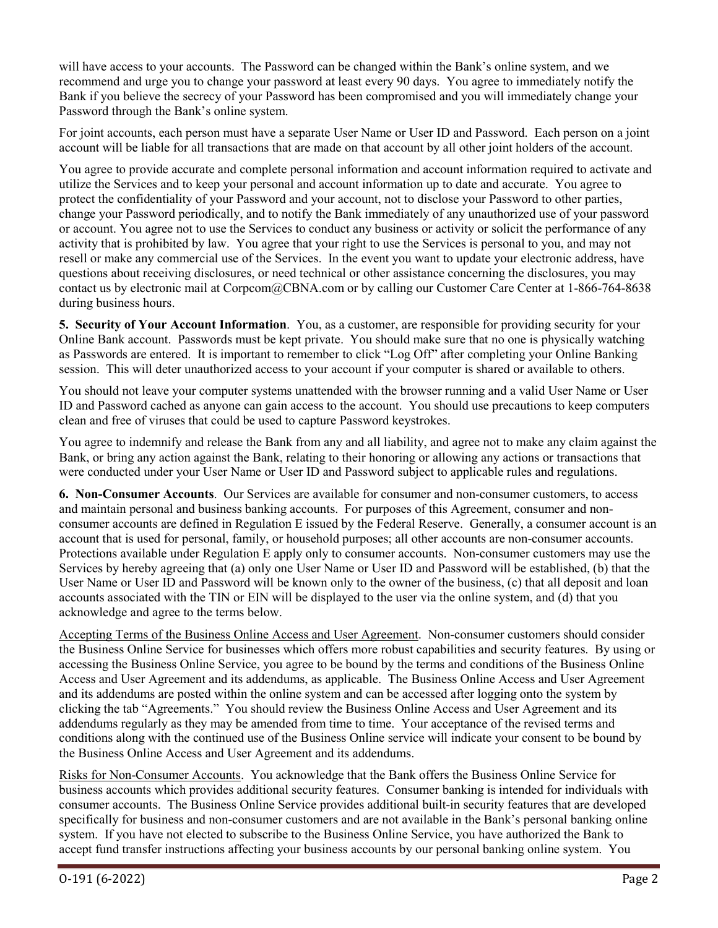will have access to your accounts. The Password can be changed within the Bank's online system, and we recommend and urge you to change your password at least every 90 days. You agree to immediately notify the Bank if you believe the secrecy of your Password has been compromised and you will immediately change your Password through the Bank's online system.

For joint accounts, each person must have a separate User Name or User ID and Password. Each person on a joint account will be liable for all transactions that are made on that account by all other joint holders of the account.

You agree to provide accurate and complete personal information and account information required to activate and utilize the Services and to keep your personal and account information up to date and accurate. You agree to protect the confidentiality of your Password and your account, not to disclose your Password to other parties, change your Password periodically, and to notify the Bank immediately of any unauthorized use of your password or account. You agree not to use the Services to conduct any business or activity or solicit the performance of any activity that is prohibited by law. You agree that your right to use the Services is personal to you, and may not resell or make any commercial use of the Services. In the event you want to update your electronic address, have questions about receiving disclosures, or need technical or other assistance concerning the disclosures, you may contact us by electronic mail at Corpcom@CBNA.com or by calling our Customer Care Center at 1-866-764-8638 during business hours.

**5. Security of Your Account Information**. You, as a customer, are responsible for providing security for your Online Bank account. Passwords must be kept private. You should make sure that no one is physically watching as Passwords are entered. It is important to remember to click "Log Off" after completing your Online Banking session. This will deter unauthorized access to your account if your computer is shared or available to others.

You should not leave your computer systems unattended with the browser running and a valid User Name or User ID and Password cached as anyone can gain access to the account. You should use precautions to keep computers clean and free of viruses that could be used to capture Password keystrokes.

You agree to indemnify and release the Bank from any and all liability, and agree not to make any claim against the Bank, or bring any action against the Bank, relating to their honoring or allowing any actions or transactions that were conducted under your User Name or User ID and Password subject to applicable rules and regulations.

**6. Non-Consumer Accounts**. Our Services are available for consumer and non-consumer customers, to access and maintain personal and business banking accounts. For purposes of this Agreement, consumer and nonconsumer accounts are defined in Regulation E issued by the Federal Reserve. Generally, a consumer account is an account that is used for personal, family, or household purposes; all other accounts are non-consumer accounts. Protections available under Regulation E apply only to consumer accounts.Non-consumer customers may use the Services by hereby agreeing that (a) only one User Name or User ID and Password will be established, (b) that the User Name or User ID and Password will be known only to the owner of the business, (c) that all deposit and loan accounts associated with the TIN or EIN will be displayed to the user via the online system, and (d) that you acknowledge and agree to the terms below.

Accepting Terms of the Business Online Access and User Agreement. Non-consumer customers should consider the Business Online Service for businesses which offers more robust capabilities and security features. By using or accessing the Business Online Service, you agree to be bound by the terms and conditions of the Business Online Access and User Agreement and its addendums, as applicable. The Business Online Access and User Agreement and its addendums are posted within the online system and can be accessed after logging onto the system by clicking the tab "Agreements." You should review the Business Online Access and User Agreement and its addendums regularly as they may be amended from time to time. Your acceptance of the revised terms and conditions along with the continued use of the Business Online service will indicate your consent to be bound by the Business Online Access and User Agreement and its addendums.

Risks for Non-Consumer Accounts. You acknowledge that the Bank offers the Business Online Service for business accounts which provides additional security features. Consumer banking is intended for individuals with consumer accounts. The Business Online Service provides additional built-in security features that are developed specifically for business and non-consumer customers and are not available in the Bank's personal banking online system. If you have not elected to subscribe to the Business Online Service, you have authorized the Bank to accept fund transfer instructions affecting your business accounts by our personal banking online system. You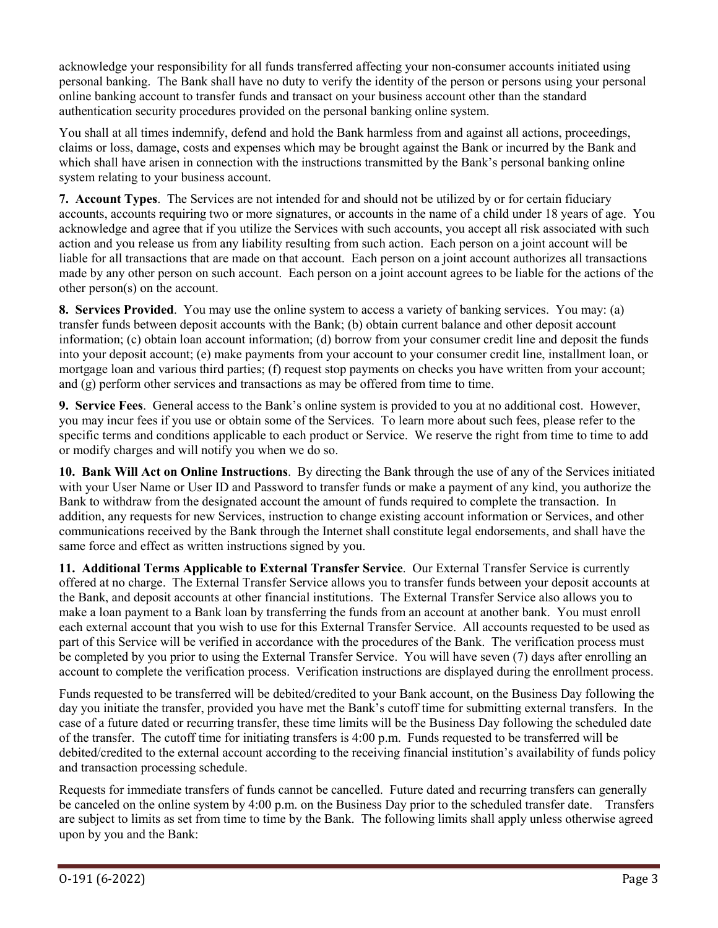acknowledge your responsibility for all funds transferred affecting your non-consumer accounts initiated using personal banking. The Bank shall have no duty to verify the identity of the person or persons using your personal online banking account to transfer funds and transact on your business account other than the standard authentication security procedures provided on the personal banking online system.

You shall at all times indemnify, defend and hold the Bank harmless from and against all actions, proceedings, claims or loss, damage, costs and expenses which may be brought against the Bank or incurred by the Bank and which shall have arisen in connection with the instructions transmitted by the Bank's personal banking online system relating to your business account.

**7. Account Types**. The Services are not intended for and should not be utilized by or for certain fiduciary accounts, accounts requiring two or more signatures, or accounts in the name of a child under 18 years of age. You acknowledge and agree that if you utilize the Services with such accounts, you accept all risk associated with such action and you release us from any liability resulting from such action. Each person on a joint account will be liable for all transactions that are made on that account. Each person on a joint account authorizes all transactions made by any other person on such account. Each person on a joint account agrees to be liable for the actions of the other person(s) on the account.

**8. Services Provided**. You may use the online system to access a variety of banking services. You may: (a) transfer funds between deposit accounts with the Bank; (b) obtain current balance and other deposit account information; (c) obtain loan account information; (d) borrow from your consumer credit line and deposit the funds into your deposit account; (e) make payments from your account to your consumer credit line, installment loan, or mortgage loan and various third parties; (f) request stop payments on checks you have written from your account; and (g) perform other services and transactions as may be offered from time to time.

**9. Service Fees**. General access to the Bank's online system is provided to you at no additional cost. However, you may incur fees if you use or obtain some of the Services. To learn more about such fees, please refer to the specific terms and conditions applicable to each product or Service. We reserve the right from time to time to add or modify charges and will notify you when we do so.

**10. Bank Will Act on Online Instructions**. By directing the Bank through the use of any of the Services initiated with your User Name or User ID and Password to transfer funds or make a payment of any kind, you authorize the Bank to withdraw from the designated account the amount of funds required to complete the transaction. In addition, any requests for new Services, instruction to change existing account information or Services, and other communications received by the Bank through the Internet shall constitute legal endorsements, and shall have the same force and effect as written instructions signed by you.

**11. Additional Terms Applicable to External Transfer Service**. Our External Transfer Service is currently offered at no charge. The External Transfer Service allows you to transfer funds between your deposit accounts at the Bank, and deposit accounts at other financial institutions. The External Transfer Service also allows you to make a loan payment to a Bank loan by transferring the funds from an account at another bank. You must enroll each external account that you wish to use for this External Transfer Service. All accounts requested to be used as part of this Service will be verified in accordance with the procedures of the Bank. The verification process must be completed by you prior to using the External Transfer Service. You will have seven (7) days after enrolling an account to complete the verification process. Verification instructions are displayed during the enrollment process.

Funds requested to be transferred will be debited/credited to your Bank account, on the Business Day following the day you initiate the transfer, provided you have met the Bank's cutoff time for submitting external transfers. In the case of a future dated or recurring transfer, these time limits will be the Business Day following the scheduled date of the transfer. The cutoff time for initiating transfers is 4:00 p.m. Funds requested to be transferred will be debited/credited to the external account according to the receiving financial institution's availability of funds policy and transaction processing schedule.

Requests for immediate transfers of funds cannot be cancelled. Future dated and recurring transfers can generally be canceled on the online system by 4:00 p.m. on the Business Day prior to the scheduled transfer date. Transfers are subject to limits as set from time to time by the Bank. The following limits shall apply unless otherwise agreed upon by you and the Bank: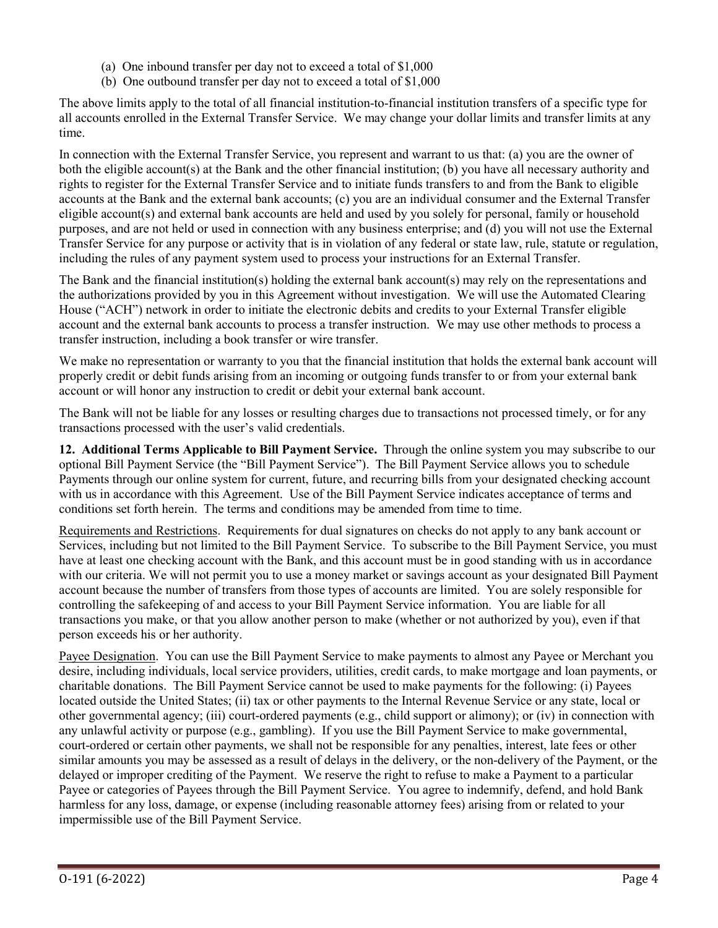- (a) One inbound transfer per day not to exceed a total of \$1,000
- (b) One outbound transfer per day not to exceed a total of \$1,000

The above limits apply to the total of all financial institution-to-financial institution transfers of a specific type for all accounts enrolled in the External Transfer Service. We may change your dollar limits and transfer limits at any time.

In connection with the External Transfer Service, you represent and warrant to us that: (a) you are the owner of both the eligible account(s) at the Bank and the other financial institution; (b) you have all necessary authority and rights to register for the External Transfer Service and to initiate funds transfers to and from the Bank to eligible accounts at the Bank and the external bank accounts; (c) you are an individual consumer and the External Transfer eligible account(s) and external bank accounts are held and used by you solely for personal, family or household purposes, and are not held or used in connection with any business enterprise; and (d) you will not use the External Transfer Service for any purpose or activity that is in violation of any federal or state law, rule, statute or regulation, including the rules of any payment system used to process your instructions for an External Transfer.

The Bank and the financial institution(s) holding the external bank account(s) may rely on the representations and the authorizations provided by you in this Agreement without investigation. We will use the Automated Clearing House ("ACH") network in order to initiate the electronic debits and credits to your External Transfer eligible account and the external bank accounts to process a transfer instruction. We may use other methods to process a transfer instruction, including a book transfer or wire transfer.

We make no representation or warranty to you that the financial institution that holds the external bank account will properly credit or debit funds arising from an incoming or outgoing funds transfer to or from your external bank account or will honor any instruction to credit or debit your external bank account.

The Bank will not be liable for any losses or resulting charges due to transactions not processed timely, or for any transactions processed with the user's valid credentials.

**12. Additional Terms Applicable to Bill Payment Service.** Through the online system you may subscribe to our optional Bill Payment Service (the "Bill Payment Service"). The Bill Payment Service allows you to schedule Payments through our online system for current, future, and recurring bills from your designated checking account with us in accordance with this Agreement. Use of the Bill Payment Service indicates acceptance of terms and conditions set forth herein. The terms and conditions may be amended from time to time.

Requirements and Restrictions. Requirements for dual signatures on checks do not apply to any bank account or Services, including but not limited to the Bill Payment Service. To subscribe to the Bill Payment Service, you must have at least one checking account with the Bank, and this account must be in good standing with us in accordance with our criteria. We will not permit you to use a money market or savings account as your designated Bill Payment account because the number of transfers from those types of accounts are limited. You are solely responsible for controlling the safekeeping of and access to your Bill Payment Service information. You are liable for all transactions you make, or that you allow another person to make (whether or not authorized by you), even if that person exceeds his or her authority.

Payee Designation. You can use the Bill Payment Service to make payments to almost any Payee or Merchant you desire, including individuals, local service providers, utilities, credit cards, to make mortgage and loan payments, or charitable donations. The Bill Payment Service cannot be used to make payments for the following: (i) Payees located outside the United States; (ii) tax or other payments to the Internal Revenue Service or any state, local or other governmental agency; (iii) court-ordered payments (e.g., child support or alimony); or (iv) in connection with any unlawful activity or purpose (e.g., gambling). If you use the Bill Payment Service to make governmental, court-ordered or certain other payments, we shall not be responsible for any penalties, interest, late fees or other similar amounts you may be assessed as a result of delays in the delivery, or the non-delivery of the Payment, or the delayed or improper crediting of the Payment. We reserve the right to refuse to make a Payment to a particular Payee or categories of Payees through the Bill Payment Service. You agree to indemnify, defend, and hold Bank harmless for any loss, damage, or expense (including reasonable attorney fees) arising from or related to your impermissible use of the Bill Payment Service.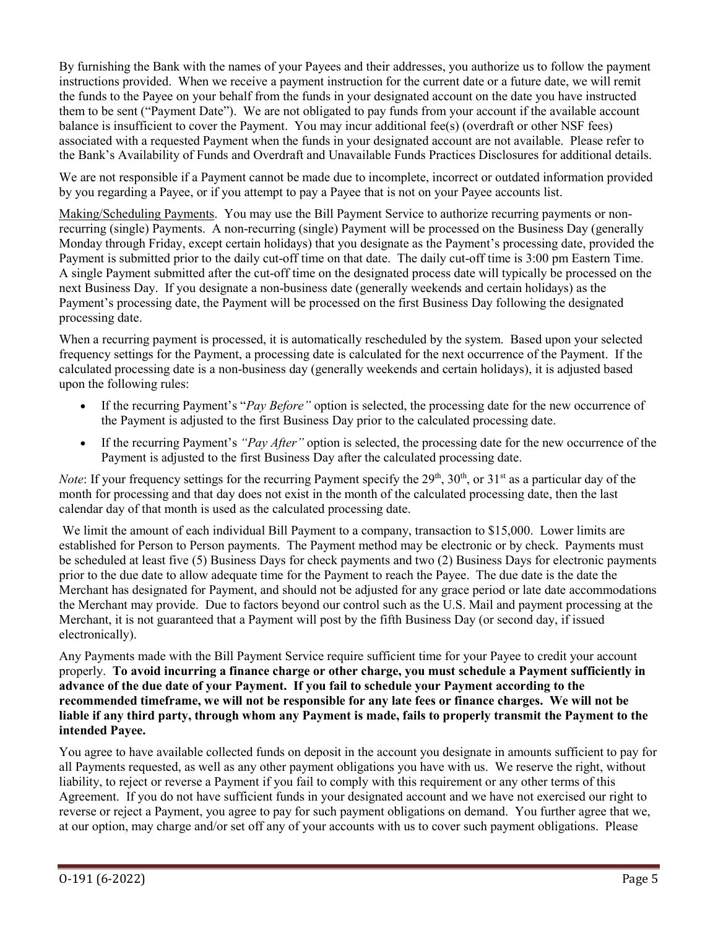By furnishing the Bank with the names of your Payees and their addresses, you authorize us to follow the payment instructions provided. When we receive a payment instruction for the current date or a future date, we will remit the funds to the Payee on your behalf from the funds in your designated account on the date you have instructed them to be sent ("Payment Date"). We are not obligated to pay funds from your account if the available account balance is insufficient to cover the Payment. You may incur additional fee(s) (overdraft or other NSF fees) associated with a requested Payment when the funds in your designated account are not available. Please refer to the Bank's Availability of Funds and Overdraft and Unavailable Funds Practices Disclosures for additional details.

We are not responsible if a Payment cannot be made due to incomplete, incorrect or outdated information provided by you regarding a Payee, or if you attempt to pay a Payee that is not on your Payee accounts list.

Making/Scheduling Payments. You may use the Bill Payment Service to authorize recurring payments or nonrecurring (single) Payments. A non-recurring (single) Payment will be processed on the Business Day (generally Monday through Friday, except certain holidays) that you designate as the Payment's processing date, provided the Payment is submitted prior to the daily cut-off time on that date. The daily cut-off time is 3:00 pm Eastern Time. A single Payment submitted after the cut-off time on the designated process date will typically be processed on the next Business Day. If you designate a non-business date (generally weekends and certain holidays) as the Payment's processing date, the Payment will be processed on the first Business Day following the designated processing date.

When a recurring payment is processed, it is automatically rescheduled by the system. Based upon your selected frequency settings for the Payment, a processing date is calculated for the next occurrence of the Payment. If the calculated processing date is a non-business day (generally weekends and certain holidays), it is adjusted based upon the following rules:

- If the recurring Payment's "*Pay Before"* option is selected, the processing date for the new occurrence of the Payment is adjusted to the first Business Day prior to the calculated processing date.
- If the recurring Payment's *"Pay After"* option is selected, the processing date for the new occurrence of the Payment is adjusted to the first Business Day after the calculated processing date.

*Note*: If your frequency settings for the recurring Payment specify the  $29<sup>th</sup>$ ,  $30<sup>th</sup>$ , or  $31<sup>st</sup>$  as a particular day of the month for processing and that day does not exist in the month of the calculated processing date, then the last calendar day of that month is used as the calculated processing date.

We limit the amount of each individual Bill Payment to a company, transaction to \$15,000. Lower limits are established for Person to Person payments. The Payment method may be electronic or by check. Payments must be scheduled at least five (5) Business Days for check payments and two (2) Business Days for electronic payments prior to the due date to allow adequate time for the Payment to reach the Payee. The due date is the date the Merchant has designated for Payment, and should not be adjusted for any grace period or late date accommodations the Merchant may provide. Due to factors beyond our control such as the U.S. Mail and payment processing at the Merchant, it is not guaranteed that a Payment will post by the fifth Business Day (or second day, if issued electronically).

Any Payments made with the Bill Payment Service require sufficient time for your Payee to credit your account properly. **To avoid incurring a finance charge or other charge, you must schedule a Payment sufficiently in advance of the due date of your Payment. If you fail to schedule your Payment according to the recommended timeframe, we will not be responsible for any late fees or finance charges. We will not be liable if any third party, through whom any Payment is made, fails to properly transmit the Payment to the intended Payee.**

You agree to have available collected funds on deposit in the account you designate in amounts sufficient to pay for all Payments requested, as well as any other payment obligations you have with us. We reserve the right, without liability, to reject or reverse a Payment if you fail to comply with this requirement or any other terms of this Agreement. If you do not have sufficient funds in your designated account and we have not exercised our right to reverse or reject a Payment, you agree to pay for such payment obligations on demand. You further agree that we, at our option, may charge and/or set off any of your accounts with us to cover such payment obligations. Please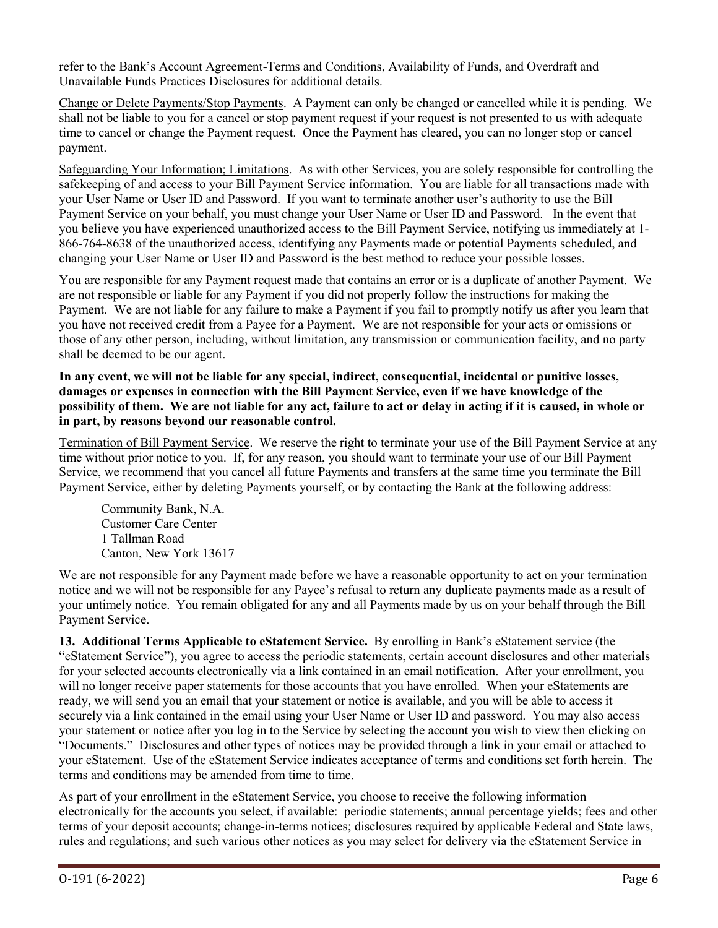refer to the Bank's Account Agreement-Terms and Conditions, Availability of Funds, and Overdraft and Unavailable Funds Practices Disclosures for additional details.

Change or Delete Payments/Stop Payments. A Payment can only be changed or cancelled while it is pending. We shall not be liable to you for a cancel or stop payment request if your request is not presented to us with adequate time to cancel or change the Payment request. Once the Payment has cleared, you can no longer stop or cancel payment.

Safeguarding Your Information; Limitations. As with other Services, you are solely responsible for controlling the safekeeping of and access to your Bill Payment Service information. You are liable for all transactions made with your User Name or User ID and Password. If you want to terminate another user's authority to use the Bill Payment Service on your behalf, you must change your User Name or User ID and Password. In the event that you believe you have experienced unauthorized access to the Bill Payment Service, notifying us immediately at 1- 866-764-8638 of the unauthorized access, identifying any Payments made or potential Payments scheduled, and changing your User Name or User ID and Password is the best method to reduce your possible losses.

You are responsible for any Payment request made that contains an error or is a duplicate of another Payment. We are not responsible or liable for any Payment if you did not properly follow the instructions for making the Payment. We are not liable for any failure to make a Payment if you fail to promptly notify us after you learn that you have not received credit from a Payee for a Payment. We are not responsible for your acts or omissions or those of any other person, including, without limitation, any transmission or communication facility, and no party shall be deemed to be our agent.

## **In any event, we will not be liable for any special, indirect, consequential, incidental or punitive losses, damages or expenses in connection with the Bill Payment Service, even if we have knowledge of the possibility of them. We are not liable for any act, failure to act or delay in acting if it is caused, in whole or in part, by reasons beyond our reasonable control.**

Termination of Bill Payment Service. We reserve the right to terminate your use of the Bill Payment Service at any time without prior notice to you. If, for any reason, you should want to terminate your use of our Bill Payment Service, we recommend that you cancel all future Payments and transfers at the same time you terminate the Bill Payment Service, either by deleting Payments yourself, or by contacting the Bank at the following address:

Community Bank, N.A. Customer Care Center 1 Tallman Road Canton, New York 13617

We are not responsible for any Payment made before we have a reasonable opportunity to act on your termination notice and we will not be responsible for any Payee's refusal to return any duplicate payments made as a result of your untimely notice. You remain obligated for any and all Payments made by us on your behalf through the Bill Payment Service.

**13. Additional Terms Applicable to eStatement Service.** By enrolling in Bank's eStatement service (the "eStatement Service"), you agree to access the periodic statements, certain account disclosures and other materials for your selected accounts electronically via a link contained in an email notification. After your enrollment, you will no longer receive paper statements for those accounts that you have enrolled. When your eStatements are ready, we will send you an email that your statement or notice is available, and you will be able to access it securely via a link contained in the email using your User Name or User ID and password. You may also access your statement or notice after you log in to the Service by selecting the account you wish to view then clicking on "Documents." Disclosures and other types of notices may be provided through a link in your email or attached to your eStatement. Use of the eStatement Service indicates acceptance of terms and conditions set forth herein. The terms and conditions may be amended from time to time.

As part of your enrollment in the eStatement Service, you choose to receive the following information electronically for the accounts you select, if available: periodic statements; annual percentage yields; fees and other terms of your deposit accounts; change-in-terms notices; disclosures required by applicable Federal and State laws, rules and regulations; and such various other notices as you may select for delivery via the eStatement Service in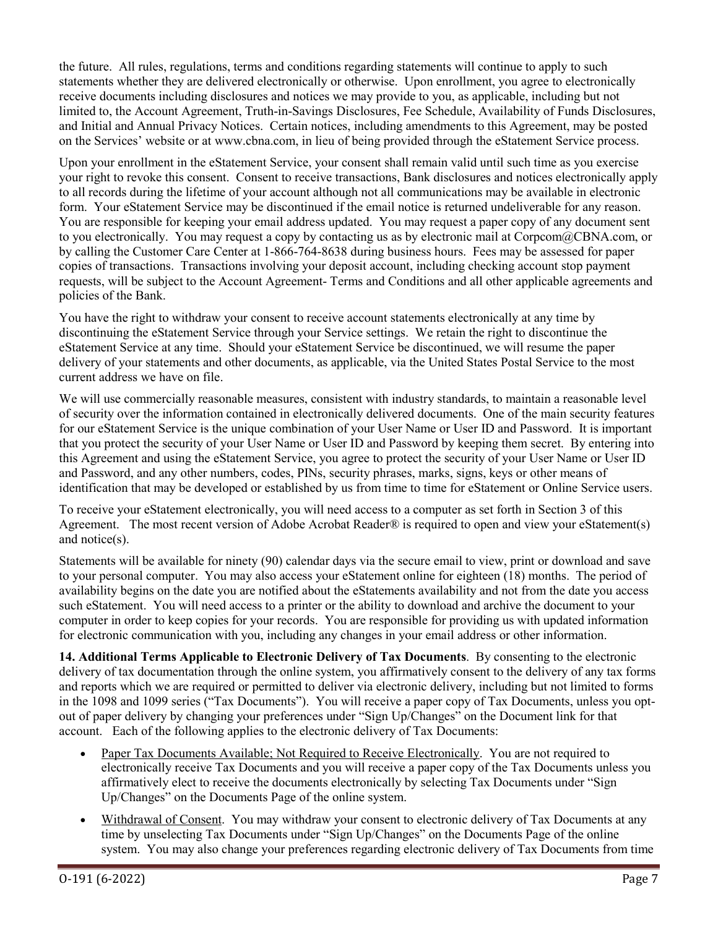the future. All rules, regulations, terms and conditions regarding statements will continue to apply to such statements whether they are delivered electronically or otherwise. Upon enrollment, you agree to electronically receive documents including disclosures and notices we may provide to you, as applicable, including but not limited to, the Account Agreement, Truth-in-Savings Disclosures, Fee Schedule, Availability of Funds Disclosures, and Initial and Annual Privacy Notices. Certain notices, including amendments to this Agreement, may be posted on the Services' website or at www.cbna.com, in lieu of being provided through the eStatement Service process.

Upon your enrollment in the eStatement Service, your consent shall remain valid until such time as you exercise your right to revoke this consent. Consent to receive transactions, Bank disclosures and notices electronically apply to all records during the lifetime of your account although not all communications may be available in electronic form. Your eStatement Service may be discontinued if the email notice is returned undeliverable for any reason. You are responsible for keeping your email address updated. You may request a paper copy of any document sent to you electronically. You may request a copy by contacting us as by electronic mail at Corpcom@CBNA.com, or by calling the Customer Care Center at 1-866-764-8638 during business hours. Fees may be assessed for paper copies of transactions. Transactions involving your deposit account, including checking account stop payment requests, will be subject to the Account Agreement- Terms and Conditions and all other applicable agreements and policies of the Bank.

You have the right to withdraw your consent to receive account statements electronically at any time by discontinuing the eStatement Service through your Service settings. We retain the right to discontinue the eStatement Service at any time. Should your eStatement Service be discontinued, we will resume the paper delivery of your statements and other documents, as applicable, via the United States Postal Service to the most current address we have on file.

We will use commercially reasonable measures, consistent with industry standards, to maintain a reasonable level of security over the information contained in electronically delivered documents. One of the main security features for our eStatement Service is the unique combination of your User Name or User ID and Password. It is important that you protect the security of your User Name or User ID and Password by keeping them secret. By entering into this Agreement and using the eStatement Service, you agree to protect the security of your User Name or User ID and Password, and any other numbers, codes, PINs, security phrases, marks, signs, keys or other means of identification that may be developed or established by us from time to time for eStatement or Online Service users.

To receive your eStatement electronically, you will need access to a computer as set forth in Section 3 of this Agreement. The most recent version of Adobe Acrobat Reader® is required to open and view your eStatement(s) and notice(s).

Statements will be available for ninety (90) calendar days via the secure email to view, print or download and save to your personal computer. You may also access your eStatement online for eighteen (18) months. The period of availability begins on the date you are notified about the eStatements availability and not from the date you access such eStatement. You will need access to a printer or the ability to download and archive the document to your computer in order to keep copies for your records. You are responsible for providing us with updated information for electronic communication with you, including any changes in your email address or other information.

**14. Additional Terms Applicable to Electronic Delivery of Tax Documents**. By consenting to the electronic delivery of tax documentation through the online system, you affirmatively consent to the delivery of any tax forms and reports which we are required or permitted to deliver via electronic delivery, including but not limited to forms in the 1098 and 1099 series ("Tax Documents"). You will receive a paper copy of Tax Documents, unless you optout of paper delivery by changing your preferences under "Sign Up/Changes" on the Document link for that account. Each of the following applies to the electronic delivery of Tax Documents:

- Paper Tax Documents Available; Not Required to Receive Electronically. You are not required to electronically receive Tax Documents and you will receive a paper copy of the Tax Documents unless you affirmatively elect to receive the documents electronically by selecting Tax Documents under "Sign Up/Changes" on the Documents Page of the online system.
- Withdrawal of Consent. You may withdraw your consent to electronic delivery of Tax Documents at any time by unselecting Tax Documents under "Sign Up/Changes" on the Documents Page of the online system. You may also change your preferences regarding electronic delivery of Tax Documents from time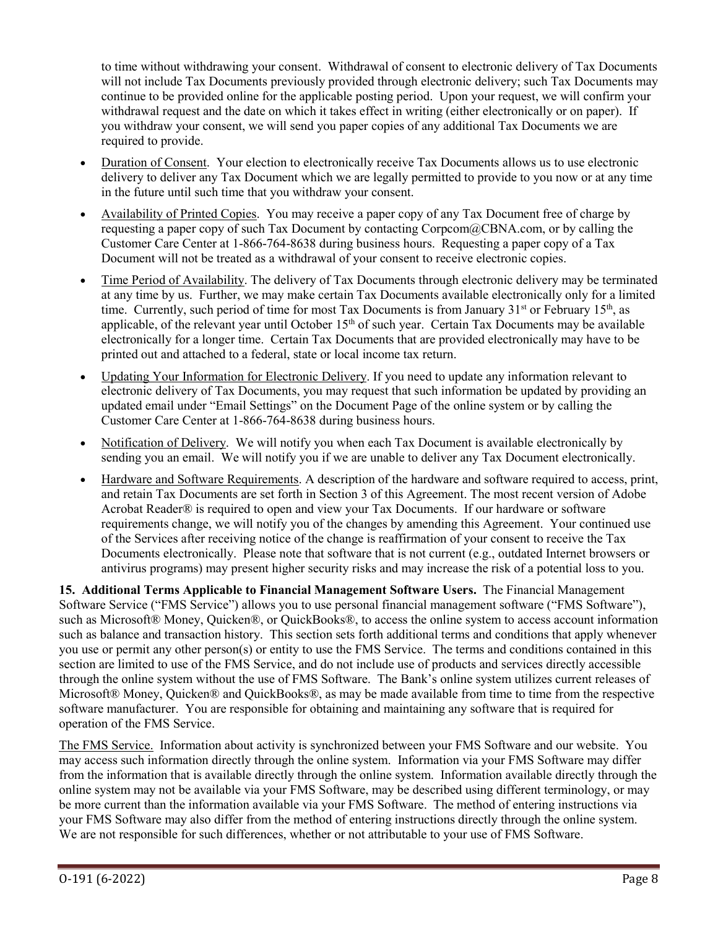to time without withdrawing your consent. Withdrawal of consent to electronic delivery of Tax Documents will not include Tax Documents previously provided through electronic delivery; such Tax Documents may continue to be provided online for the applicable posting period. Upon your request, we will confirm your withdrawal request and the date on which it takes effect in writing (either electronically or on paper). If you withdraw your consent, we will send you paper copies of any additional Tax Documents we are required to provide.

- Duration of Consent. Your election to electronically receive Tax Documents allows us to use electronic delivery to deliver any Tax Document which we are legally permitted to provide to you now or at any time in the future until such time that you withdraw your consent.
- Availability of Printed Copies. You may receive a paper copy of any Tax Document free of charge by requesting a paper copy of such Tax Document by contacting Corpcom@CBNA.com, or by calling the Customer Care Center at 1-866-764-8638 during business hours. Requesting a paper copy of a Tax Document will not be treated as a withdrawal of your consent to receive electronic copies.
- Time Period of Availability. The delivery of Tax Documents through electronic delivery may be terminated at any time by us. Further, we may make certain Tax Documents available electronically only for a limited time. Currently, such period of time for most Tax Documents is from January 31<sup>st</sup> or February 15<sup>th</sup>, as applicable, of the relevant year until October  $15<sup>th</sup>$  of such year. Certain Tax Documents may be available electronically for a longer time. Certain Tax Documents that are provided electronically may have to be printed out and attached to a federal, state or local income tax return.
- Updating Your Information for Electronic Delivery. If you need to update any information relevant to electronic delivery of Tax Documents, you may request that such information be updated by providing an updated email under "Email Settings" on the Document Page of the online system or by calling the Customer Care Center at 1-866-764-8638 during business hours.
- Notification of Delivery. We will notify you when each Tax Document is available electronically by sending you an email. We will notify you if we are unable to deliver any Tax Document electronically.
- Hardware and Software Requirements. A description of the hardware and software required to access, print, and retain Tax Documents are set forth in Section 3 of this Agreement. The most recent version of Adobe Acrobat Reader® is required to open and view your Tax Documents. If our hardware or software requirements change, we will notify you of the changes by amending this Agreement. Your continued use of the Services after receiving notice of the change is reaffirmation of your consent to receive the Tax Documents electronically. Please note that software that is not current (e.g., outdated Internet browsers or antivirus programs) may present higher security risks and may increase the risk of a potential loss to you.

**15. Additional Terms Applicable to Financial Management Software Users.** The Financial Management Software Service ("FMS Service") allows you to use personal financial management software ("FMS Software"), such as Microsoft® Money, Quicken®, or QuickBooks®, to access the online system to access account information such as balance and transaction history. This section sets forth additional terms and conditions that apply whenever you use or permit any other person(s) or entity to use the FMS Service. The terms and conditions contained in this section are limited to use of the FMS Service, and do not include use of products and services directly accessible through the online system without the use of FMS Software. The Bank's online system utilizes current releases of Microsoft® Money, Quicken® and QuickBooks®, as may be made available from time to time from the respective software manufacturer. You are responsible for obtaining and maintaining any software that is required for operation of the FMS Service.

The FMS Service. Information about activity is synchronized between your FMS Software and our website. You may access such information directly through the online system. Information via your FMS Software may differ from the information that is available directly through the online system. Information available directly through the online system may not be available via your FMS Software, may be described using different terminology, or may be more current than the information available via your FMS Software. The method of entering instructions via your FMS Software may also differ from the method of entering instructions directly through the online system. We are not responsible for such differences, whether or not attributable to your use of FMS Software.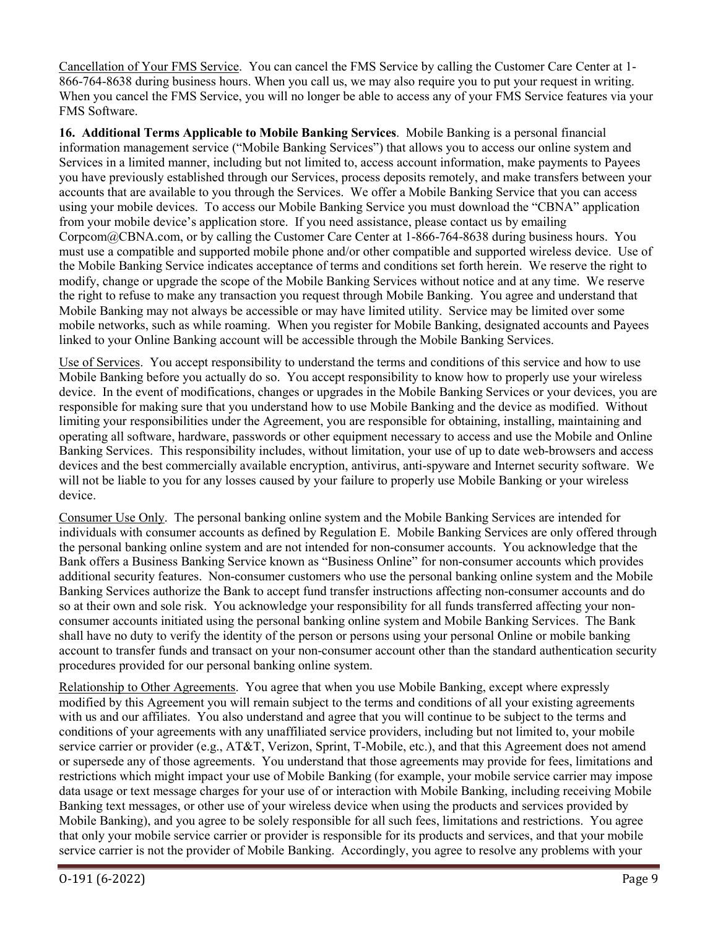Cancellation of Your FMS Service. You can cancel the FMS Service by calling the Customer Care Center at 1- 866-764-8638 during business hours. When you call us, we may also require you to put your request in writing. When you cancel the FMS Service, you will no longer be able to access any of your FMS Service features via your FMS Software.

**16. Additional Terms Applicable to Mobile Banking Services**. Mobile Banking is a personal financial information management service ("Mobile Banking Services") that allows you to access our online system and Services in a limited manner, including but not limited to, access account information, make payments to Payees you have previously established through our Services, process deposits remotely, and make transfers between your accounts that are available to you through the Services. We offer a Mobile Banking Service that you can access using your mobile devices. To access our Mobile Banking Service you must download the "CBNA" application from your mobile device's application store. If you need assistance, please contact us by emailing Corpcom@CBNA.com, or by calling the Customer Care Center at 1-866-764-8638 during business hours. You must use a compatible and supported mobile phone and/or other compatible and supported wireless device. Use of the Mobile Banking Service indicates acceptance of terms and conditions set forth herein. We reserve the right to modify, change or upgrade the scope of the Mobile Banking Services without notice and at any time. We reserve the right to refuse to make any transaction you request through Mobile Banking. You agree and understand that Mobile Banking may not always be accessible or may have limited utility. Service may be limited over some mobile networks, such as while roaming. When you register for Mobile Banking, designated accounts and Payees linked to your Online Banking account will be accessible through the Mobile Banking Services.

Use of Services. You accept responsibility to understand the terms and conditions of this service and how to use Mobile Banking before you actually do so. You accept responsibility to know how to properly use your wireless device. In the event of modifications, changes or upgrades in the Mobile Banking Services or your devices, you are responsible for making sure that you understand how to use Mobile Banking and the device as modified. Without limiting your responsibilities under the Agreement, you are responsible for obtaining, installing, maintaining and operating all software, hardware, passwords or other equipment necessary to access and use the Mobile and Online Banking Services. This responsibility includes, without limitation, your use of up to date web-browsers and access devices and the best commercially available encryption, antivirus, anti-spyware and Internet security software. We will not be liable to you for any losses caused by your failure to properly use Mobile Banking or your wireless device.

Consumer Use Only. The personal banking online system and the Mobile Banking Services are intended for individuals with consumer accounts as defined by Regulation E. Mobile Banking Services are only offered through the personal banking online system and are not intended for non-consumer accounts. You acknowledge that the Bank offers a Business Banking Service known as "Business Online" for non-consumer accounts which provides additional security features. Non-consumer customers who use the personal banking online system and the Mobile Banking Services authorize the Bank to accept fund transfer instructions affecting non-consumer accounts and do so at their own and sole risk. You acknowledge your responsibility for all funds transferred affecting your nonconsumer accounts initiated using the personal banking online system and Mobile Banking Services. The Bank shall have no duty to verify the identity of the person or persons using your personal Online or mobile banking account to transfer funds and transact on your non-consumer account other than the standard authentication security procedures provided for our personal banking online system.

Relationship to Other Agreements. You agree that when you use Mobile Banking, except where expressly modified by this Agreement you will remain subject to the terms and conditions of all your existing agreements with us and our affiliates. You also understand and agree that you will continue to be subject to the terms and conditions of your agreements with any unaffiliated service providers, including but not limited to, your mobile service carrier or provider (e.g., AT&T, Verizon, Sprint, T-Mobile, etc.), and that this Agreement does not amend or supersede any of those agreements. You understand that those agreements may provide for fees, limitations and restrictions which might impact your use of Mobile Banking (for example, your mobile service carrier may impose data usage or text message charges for your use of or interaction with Mobile Banking, including receiving Mobile Banking text messages, or other use of your wireless device when using the products and services provided by Mobile Banking), and you agree to be solely responsible for all such fees, limitations and restrictions. You agree that only your mobile service carrier or provider is responsible for its products and services, and that your mobile service carrier is not the provider of Mobile Banking. Accordingly, you agree to resolve any problems with your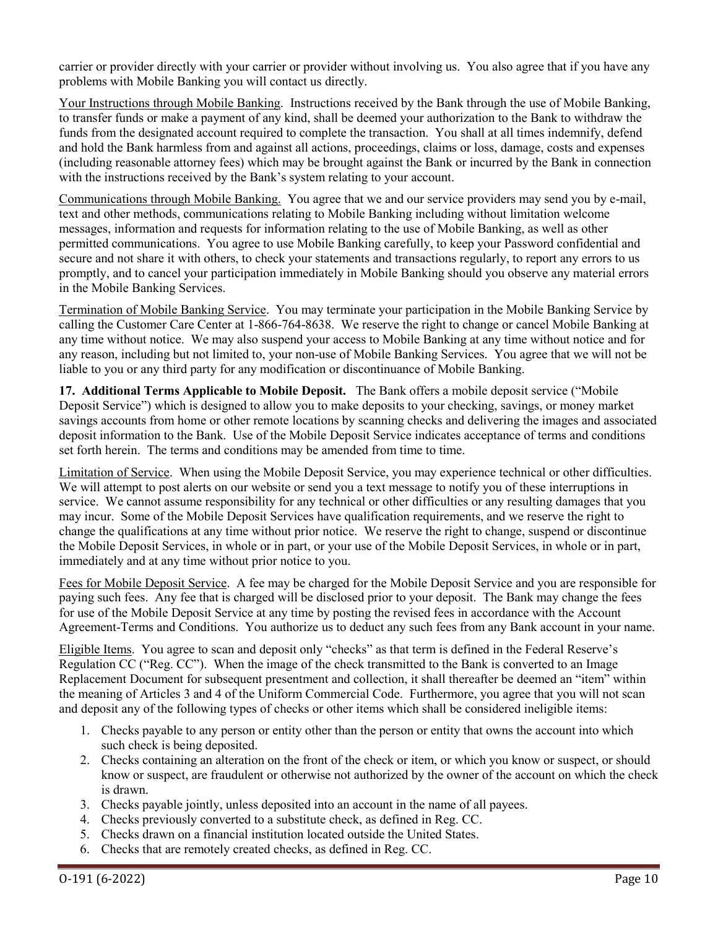carrier or provider directly with your carrier or provider without involving us. You also agree that if you have any problems with Mobile Banking you will contact us directly.

Your Instructions through Mobile Banking. Instructions received by the Bank through the use of Mobile Banking, to transfer funds or make a payment of any kind, shall be deemed your authorization to the Bank to withdraw the funds from the designated account required to complete the transaction. You shall at all times indemnify, defend and hold the Bank harmless from and against all actions, proceedings, claims or loss, damage, costs and expenses (including reasonable attorney fees) which may be brought against the Bank or incurred by the Bank in connection with the instructions received by the Bank's system relating to your account.

Communications through Mobile Banking. You agree that we and our service providers may send you by e-mail, text and other methods, communications relating to Mobile Banking including without limitation welcome messages, information and requests for information relating to the use of Mobile Banking, as well as other permitted communications. You agree to use Mobile Banking carefully, to keep your Password confidential and secure and not share it with others, to check your statements and transactions regularly, to report any errors to us promptly, and to cancel your participation immediately in Mobile Banking should you observe any material errors in the Mobile Banking Services.

Termination of Mobile Banking Service. You may terminate your participation in the Mobile Banking Service by calling the Customer Care Center at 1-866-764-8638. We reserve the right to change or cancel Mobile Banking at any time without notice. We may also suspend your access to Mobile Banking at any time without notice and for any reason, including but not limited to, your non-use of Mobile Banking Services. You agree that we will not be liable to you or any third party for any modification or discontinuance of Mobile Banking.

**17. Additional Terms Applicable to Mobile Deposit.** The Bank offers a mobile deposit service ("Mobile Deposit Service") which is designed to allow you to make deposits to your checking, savings, or money market savings accounts from home or other remote locations by scanning checks and delivering the images and associated deposit information to the Bank. Use of the Mobile Deposit Service indicates acceptance of terms and conditions set forth herein. The terms and conditions may be amended from time to time.

Limitation of Service. When using the Mobile Deposit Service, you may experience technical or other difficulties. We will attempt to post alerts on our website or send you a text message to notify you of these interruptions in service. We cannot assume responsibility for any technical or other difficulties or any resulting damages that you may incur. Some of the Mobile Deposit Services have qualification requirements, and we reserve the right to change the qualifications at any time without prior notice. We reserve the right to change, suspend or discontinue the Mobile Deposit Services, in whole or in part, or your use of the Mobile Deposit Services, in whole or in part, immediately and at any time without prior notice to you.

Fees for Mobile Deposit Service. A fee may be charged for the Mobile Deposit Service and you are responsible for paying such fees. Any fee that is charged will be disclosed prior to your deposit. The Bank may change the fees for use of the Mobile Deposit Service at any time by posting the revised fees in accordance with the Account Agreement-Terms and Conditions.You authorize us to deduct any such fees from any Bank account in your name.

Eligible Items. You agree to scan and deposit only "checks" as that term is defined in the Federal Reserve's Regulation CC ("Reg. CC"). When the image of the check transmitted to the Bank is converted to an Image Replacement Document for subsequent presentment and collection, it shall thereafter be deemed an "item" within the meaning of Articles 3 and 4 of the Uniform Commercial Code. Furthermore, you agree that you will not scan and deposit any of the following types of checks or other items which shall be considered ineligible items:

- 1. Checks payable to any person or entity other than the person or entity that owns the account into which such check is being deposited.
- 2. Checks containing an alteration on the front of the check or item, or which you know or suspect, or should know or suspect, are fraudulent or otherwise not authorized by the owner of the account on which the check is drawn.
- 3. Checks payable jointly, unless deposited into an account in the name of all payees.
- 4. Checks previously converted to a substitute check, as defined in Reg. CC.
- 5. Checks drawn on a financial institution located outside the United States.
- 6. Checks that are remotely created checks, as defined in Reg. CC.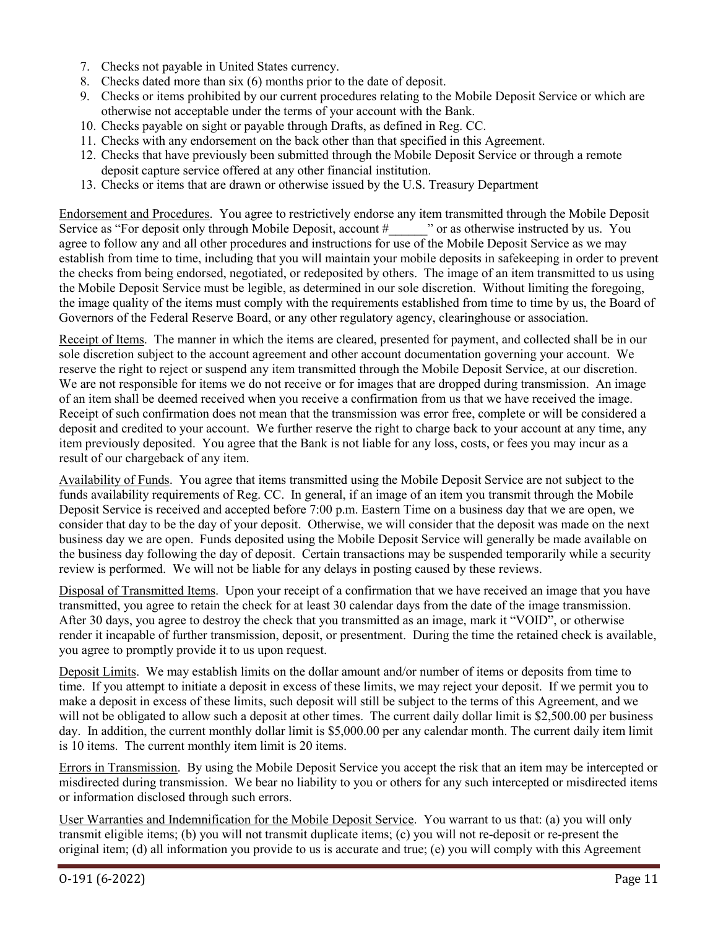- 7. Checks not payable in United States currency.
- 8. Checks dated more than six (6) months prior to the date of deposit.
- 9. Checks or items prohibited by our current procedures relating to the Mobile Deposit Service or which are otherwise not acceptable under the terms of your account with the Bank.
- 10. Checks payable on sight or payable through Drafts, as defined in Reg. CC.
- 11. Checks with any endorsement on the back other than that specified in this Agreement.
- 12. Checks that have previously been submitted through the Mobile Deposit Service or through a remote deposit capture service offered at any other financial institution.
- 13. Checks or items that are drawn or otherwise issued by the U.S. Treasury Department

Endorsement and Procedures. You agree to restrictively endorse any item transmitted through the Mobile Deposit<br>Service as "For deposit only through Mobile Deposit, account #"" or as otherwise instructed by us. You Service as "For deposit only through Mobile Deposit, account # agree to follow any and all other procedures and instructions for use of the Mobile Deposit Service as we may establish from time to time, including that you will maintain your mobile deposits in safekeeping in order to prevent the checks from being endorsed, negotiated, or redeposited by others. The image of an item transmitted to us using the Mobile Deposit Service must be legible, as determined in our sole discretion. Without limiting the foregoing, the image quality of the items must comply with the requirements established from time to time by us, the Board of Governors of the Federal Reserve Board, or any other regulatory agency, clearinghouse or association.

Receipt of Items. The manner in which the items are cleared, presented for payment, and collected shall be in our sole discretion subject to the account agreement and other account documentation governing your account. We reserve the right to reject or suspend any item transmitted through the Mobile Deposit Service, at our discretion. We are not responsible for items we do not receive or for images that are dropped during transmission. An image of an item shall be deemed received when you receive a confirmation from us that we have received the image. Receipt of such confirmation does not mean that the transmission was error free, complete or will be considered a deposit and credited to your account. We further reserve the right to charge back to your account at any time, any item previously deposited. You agree that the Bank is not liable for any loss, costs, or fees you may incur as a result of our chargeback of any item.

Availability of Funds. You agree that items transmitted using the Mobile Deposit Service are not subject to the funds availability requirements of Reg. CC. In general, if an image of an item you transmit through the Mobile Deposit Service is received and accepted before 7:00 p.m. Eastern Time on a business day that we are open, we consider that day to be the day of your deposit. Otherwise, we will consider that the deposit was made on the next business day we are open. Funds deposited using the Mobile Deposit Service will generally be made available on the business day following the day of deposit. Certain transactions may be suspended temporarily while a security review is performed. We will not be liable for any delays in posting caused by these reviews.

Disposal of Transmitted Items. Upon your receipt of a confirmation that we have received an image that you have transmitted, you agree to retain the check for at least 30 calendar days from the date of the image transmission. After 30 days, you agree to destroy the check that you transmitted as an image, mark it "VOID", or otherwise render it incapable of further transmission, deposit, or presentment. During the time the retained check is available, you agree to promptly provide it to us upon request.

Deposit Limits. We may establish limits on the dollar amount and/or number of items or deposits from time to time. If you attempt to initiate a deposit in excess of these limits, we may reject your deposit. If we permit you to make a deposit in excess of these limits, such deposit will still be subject to the terms of this Agreement, and we will not be obligated to allow such a deposit at other times. The current daily dollar limit is \$2,500.00 per business day. In addition, the current monthly dollar limit is \$5,000.00 per any calendar month. The current daily item limit is 10 items. The current monthly item limit is 20 items.

Errors in Transmission. By using the Mobile Deposit Service you accept the risk that an item may be intercepted or misdirected during transmission. We bear no liability to you or others for any such intercepted or misdirected items or information disclosed through such errors.

User Warranties and Indemnification for the Mobile Deposit Service. You warrant to us that: (a) you will only transmit eligible items; (b) you will not transmit duplicate items; (c) you will not re-deposit or re-present the original item; (d) all information you provide to us is accurate and true; (e) you will comply with this Agreement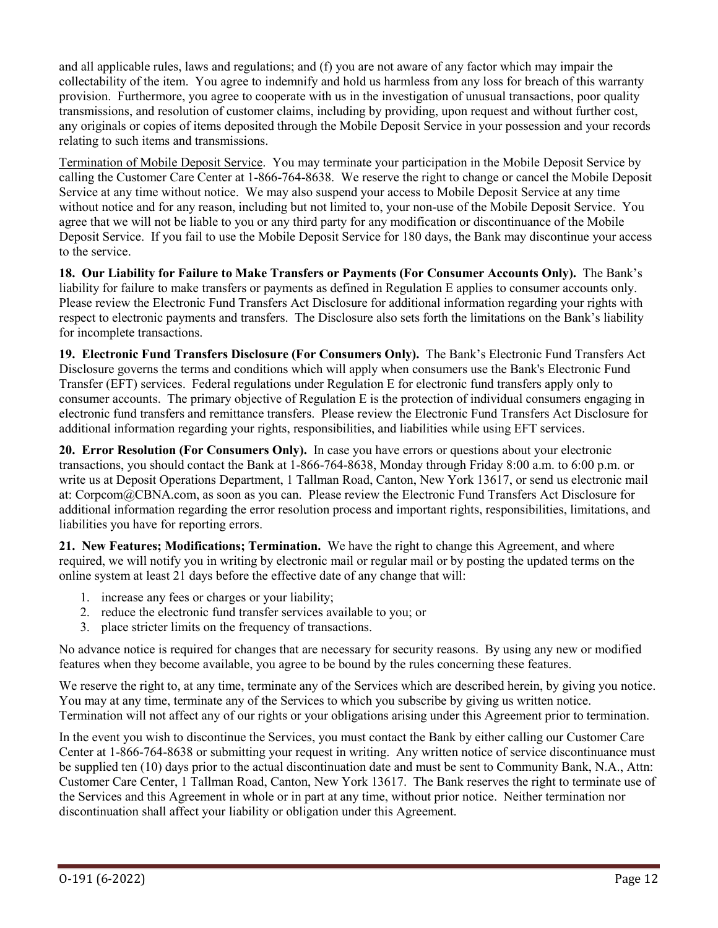and all applicable rules, laws and regulations; and (f) you are not aware of any factor which may impair the collectability of the item. You agree to indemnify and hold us harmless from any loss for breach of this warranty provision. Furthermore, you agree to cooperate with us in the investigation of unusual transactions, poor quality transmissions, and resolution of customer claims, including by providing, upon request and without further cost, any originals or copies of items deposited through the Mobile Deposit Service in your possession and your records relating to such items and transmissions.

Termination of Mobile Deposit Service. You may terminate your participation in the Mobile Deposit Service by calling the Customer Care Center at 1-866-764-8638. We reserve the right to change or cancel the Mobile Deposit Service at any time without notice. We may also suspend your access to Mobile Deposit Service at any time without notice and for any reason, including but not limited to, your non-use of the Mobile Deposit Service. You agree that we will not be liable to you or any third party for any modification or discontinuance of the Mobile Deposit Service. If you fail to use the Mobile Deposit Service for 180 days, the Bank may discontinue your access to the service.

**18. Our Liability for Failure to Make Transfers or Payments (For Consumer Accounts Only).** The Bank's liability for failure to make transfers or payments as defined in Regulation E applies to consumer accounts only. Please review the Electronic Fund Transfers Act Disclosure for additional information regarding your rights with respect to electronic payments and transfers. The Disclosure also sets forth the limitations on the Bank's liability for incomplete transactions.

**19. Electronic Fund Transfers Disclosure (For Consumers Only).** The Bank's Electronic Fund Transfers Act Disclosure governs the terms and conditions which will apply when consumers use the Bank's Electronic Fund Transfer (EFT) services. Federal regulations under Regulation E for electronic fund transfers apply only to consumer accounts. The primary objective of Regulation E is the protection of individual consumers engaging in electronic fund transfers and remittance transfers. Please review the Electronic Fund Transfers Act Disclosure for additional information regarding your rights, responsibilities, and liabilities while using EFT services.

**20. Error Resolution (For Consumers Only).** In case you have errors or questions about your electronic transactions, you should contact the Bank at 1-866-764-8638, Monday through Friday 8:00 a.m. to 6:00 p.m. or write us at Deposit Operations Department, 1 Tallman Road, Canton, New York 13617, or send us electronic mail at: Corpcom@CBNA.com, as soon as you can. Please review the Electronic Fund Transfers Act Disclosure for additional information regarding the error resolution process and important rights, responsibilities, limitations, and liabilities you have for reporting errors.

**21. New Features; Modifications; Termination.** We have the right to change this Agreement, and where required, we will notify you in writing by electronic mail or regular mail or by posting the updated terms on the online system at least 21 days before the effective date of any change that will:

- 1. increase any fees or charges or your liability;
- 2. reduce the electronic fund transfer services available to you; or
- 3. place stricter limits on the frequency of transactions.

No advance notice is required for changes that are necessary for security reasons. By using any new or modified features when they become available, you agree to be bound by the rules concerning these features.

We reserve the right to, at any time, terminate any of the Services which are described herein, by giving you notice. You may at any time, terminate any of the Services to which you subscribe by giving us written notice. Termination will not affect any of our rights or your obligations arising under this Agreement prior to termination.

In the event you wish to discontinue the Services, you must contact the Bank by either calling our Customer Care Center at 1-866-764-8638 or submitting your request in writing. Any written notice of service discontinuance must be supplied ten (10) days prior to the actual discontinuation date and must be sent to Community Bank, N.A., Attn: Customer Care Center, 1 Tallman Road, Canton, New York 13617. The Bank reserves the right to terminate use of the Services and this Agreement in whole or in part at any time, without prior notice. Neither termination nor discontinuation shall affect your liability or obligation under this Agreement.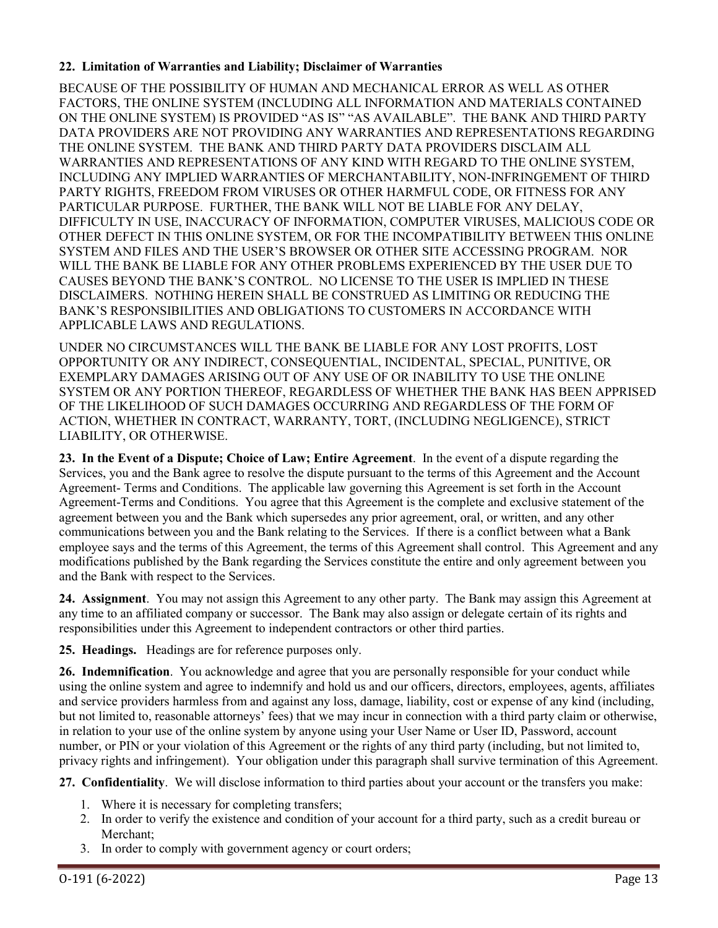## **22. Limitation of Warranties and Liability; Disclaimer of Warranties**

BECAUSE OF THE POSSIBILITY OF HUMAN AND MECHANICAL ERROR AS WELL AS OTHER FACTORS, THE ONLINE SYSTEM (INCLUDING ALL INFORMATION AND MATERIALS CONTAINED ON THE ONLINE SYSTEM) IS PROVIDED "AS IS" "AS AVAILABLE". THE BANK AND THIRD PARTY DATA PROVIDERS ARE NOT PROVIDING ANY WARRANTIES AND REPRESENTATIONS REGARDING THE ONLINE SYSTEM. THE BANK AND THIRD PARTY DATA PROVIDERS DISCLAIM ALL WARRANTIES AND REPRESENTATIONS OF ANY KIND WITH REGARD TO THE ONLINE SYSTEM, INCLUDING ANY IMPLIED WARRANTIES OF MERCHANTABILITY, NON-INFRINGEMENT OF THIRD PARTY RIGHTS, FREEDOM FROM VIRUSES OR OTHER HARMFUL CODE, OR FITNESS FOR ANY PARTICULAR PURPOSE. FURTHER, THE BANK WILL NOT BE LIABLE FOR ANY DELAY, DIFFICULTY IN USE, INACCURACY OF INFORMATION, COMPUTER VIRUSES, MALICIOUS CODE OR OTHER DEFECT IN THIS ONLINE SYSTEM, OR FOR THE INCOMPATIBILITY BETWEEN THIS ONLINE SYSTEM AND FILES AND THE USER'S BROWSER OR OTHER SITE ACCESSING PROGRAM. NOR WILL THE BANK BE LIABLE FOR ANY OTHER PROBLEMS EXPERIENCED BY THE USER DUE TO CAUSES BEYOND THE BANK'S CONTROL. NO LICENSE TO THE USER IS IMPLIED IN THESE DISCLAIMERS. NOTHING HEREIN SHALL BE CONSTRUED AS LIMITING OR REDUCING THE BANK'S RESPONSIBILITIES AND OBLIGATIONS TO CUSTOMERS IN ACCORDANCE WITH APPLICABLE LAWS AND REGULATIONS.

UNDER NO CIRCUMSTANCES WILL THE BANK BE LIABLE FOR ANY LOST PROFITS, LOST OPPORTUNITY OR ANY INDIRECT, CONSEQUENTIAL, INCIDENTAL, SPECIAL, PUNITIVE, OR EXEMPLARY DAMAGES ARISING OUT OF ANY USE OF OR INABILITY TO USE THE ONLINE SYSTEM OR ANY PORTION THEREOF, REGARDLESS OF WHETHER THE BANK HAS BEEN APPRISED OF THE LIKELIHOOD OF SUCH DAMAGES OCCURRING AND REGARDLESS OF THE FORM OF ACTION, WHETHER IN CONTRACT, WARRANTY, TORT, (INCLUDING NEGLIGENCE), STRICT LIABILITY, OR OTHERWISE.

**23. In the Event of a Dispute; Choice of Law; Entire Agreement**. In the event of a dispute regarding the Services, you and the Bank agree to resolve the dispute pursuant to the terms of this Agreement and the Account Agreement- Terms and Conditions. The applicable law governing this Agreement is set forth in the Account Agreement-Terms and Conditions. You agree that this Agreement is the complete and exclusive statement of the agreement between you and the Bank which supersedes any prior agreement, oral, or written, and any other communications between you and the Bank relating to the Services. If there is a conflict between what a Bank employee says and the terms of this Agreement, the terms of this Agreement shall control. This Agreement and any modifications published by the Bank regarding the Services constitute the entire and only agreement between you and the Bank with respect to the Services.

**24. Assignment**. You may not assign this Agreement to any other party. The Bank may assign this Agreement at any time to an affiliated company or successor. The Bank may also assign or delegate certain of its rights and responsibilities under this Agreement to independent contractors or other third parties.

**25. Headings.** Headings are for reference purposes only.

**26. Indemnification**. You acknowledge and agree that you are personally responsible for your conduct while using the online system and agree to indemnify and hold us and our officers, directors, employees, agents, affiliates and service providers harmless from and against any loss, damage, liability, cost or expense of any kind (including, but not limited to, reasonable attorneys' fees) that we may incur in connection with a third party claim or otherwise, in relation to your use of the online system by anyone using your User Name or User ID, Password, account number, or PIN or your violation of this Agreement or the rights of any third party (including, but not limited to, privacy rights and infringement). Your obligation under this paragraph shall survive termination of this Agreement.

**27. Confidentiality**. We will disclose information to third parties about your account or the transfers you make:

- 1. Where it is necessary for completing transfers;
- 2. In order to verify the existence and condition of your account for a third party, such as a credit bureau or Merchant;
- 3. In order to comply with government agency or court orders;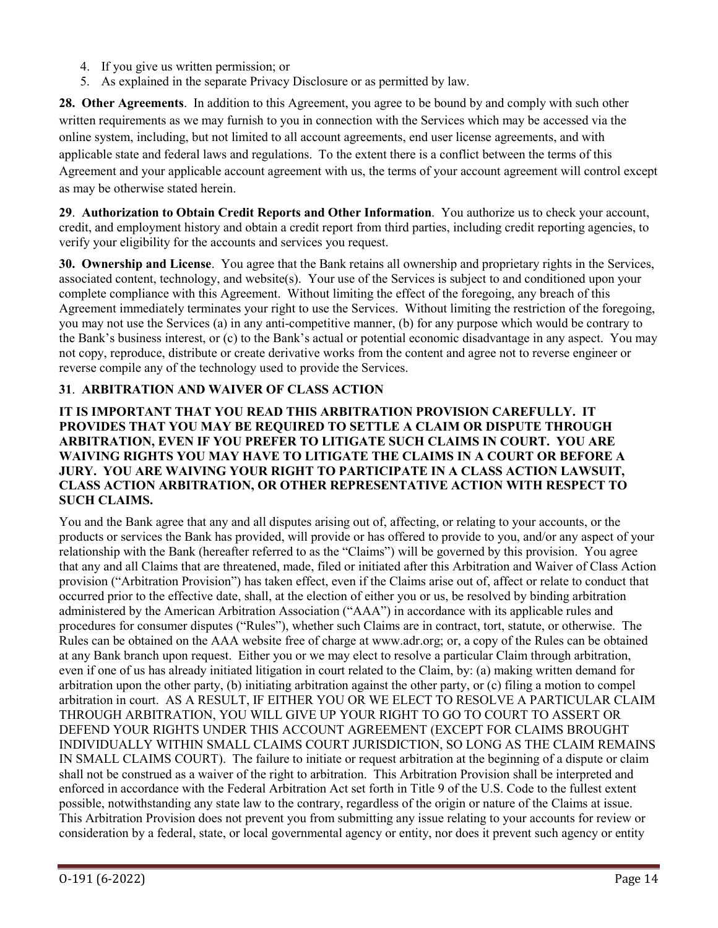- 4. If you give us written permission; or
- 5. As explained in the separate Privacy Disclosure or as permitted by law.

**28. Other Agreements**. In addition to this Agreement, you agree to be bound by and comply with such other written requirements as we may furnish to you in connection with the Services which may be accessed via the online system, including, but not limited to all account agreements, end user license agreements, and with applicable state and federal laws and regulations. To the extent there is a conflict between the terms of this Agreement and your applicable account agreement with us, the terms of your account agreement will control except as may be otherwise stated herein.

**29**. **Authorization to Obtain Credit Reports and Other Information**. You authorize us to check your account, credit, and employment history and obtain a credit report from third parties, including credit reporting agencies, to verify your eligibility for the accounts and services you request.

**30. Ownership and License**. You agree that the Bank retains all ownership and proprietary rights in the Services, associated content, technology, and website(s). Your use of the Services is subject to and conditioned upon your complete compliance with this Agreement. Without limiting the effect of the foregoing, any breach of this Agreement immediately terminates your right to use the Services. Without limiting the restriction of the foregoing, you may not use the Services (a) in any anti-competitive manner, (b) for any purpose which would be contrary to the Bank's business interest, or (c) to the Bank's actual or potential economic disadvantage in any aspect. You may not copy, reproduce, distribute or create derivative works from the content and agree not to reverse engineer or reverse compile any of the technology used to provide the Services.

## **31**. **ARBITRATION AND WAIVER OF CLASS ACTION**

## **IT IS IMPORTANT THAT YOU READ THIS ARBITRATION PROVISION CAREFULLY. IT PROVIDES THAT YOU MAY BE REQUIRED TO SETTLE A CLAIM OR DISPUTE THROUGH ARBITRATION, EVEN IF YOU PREFER TO LITIGATE SUCH CLAIMS IN COURT. YOU ARE WAIVING RIGHTS YOU MAY HAVE TO LITIGATE THE CLAIMS IN A COURT OR BEFORE A JURY. YOU ARE WAIVING YOUR RIGHT TO PARTICIPATE IN A CLASS ACTION LAWSUIT, CLASS ACTION ARBITRATION, OR OTHER REPRESENTATIVE ACTION WITH RESPECT TO SUCH CLAIMS.**

You and the Bank agree that any and all disputes arising out of, affecting, or relating to your accounts, or the products or services the Bank has provided, will provide or has offered to provide to you, and/or any aspect of your relationship with the Bank (hereafter referred to as the "Claims") will be governed by this provision. You agree that any and all Claims that are threatened, made, filed or initiated after this Arbitration and Waiver of Class Action provision ("Arbitration Provision") has taken effect, even if the Claims arise out of, affect or relate to conduct that occurred prior to the effective date, shall, at the election of either you or us, be resolved by binding arbitration administered by the American Arbitration Association ("AAA") in accordance with its applicable rules and procedures for consumer disputes ("Rules"), whether such Claims are in contract, tort, statute, or otherwise. The Rules can be obtained on the AAA website free of charge at www.adr.org; or, a copy of the Rules can be obtained at any Bank branch upon request. Either you or we may elect to resolve a particular Claim through arbitration, even if one of us has already initiated litigation in court related to the Claim, by: (a) making written demand for arbitration upon the other party, (b) initiating arbitration against the other party, or (c) filing a motion to compel arbitration in court. AS A RESULT, IF EITHER YOU OR WE ELECT TO RESOLVE A PARTICULAR CLAIM THROUGH ARBITRATION, YOU WILL GIVE UP YOUR RIGHT TO GO TO COURT TO ASSERT OR DEFEND YOUR RIGHTS UNDER THIS ACCOUNT AGREEMENT (EXCEPT FOR CLAIMS BROUGHT INDIVIDUALLY WITHIN SMALL CLAIMS COURT JURISDICTION, SO LONG AS THE CLAIM REMAINS IN SMALL CLAIMS COURT). The failure to initiate or request arbitration at the beginning of a dispute or claim shall not be construed as a waiver of the right to arbitration. This Arbitration Provision shall be interpreted and enforced in accordance with the Federal Arbitration Act set forth in Title 9 of the U.S. Code to the fullest extent possible, notwithstanding any state law to the contrary, regardless of the origin or nature of the Claims at issue. This Arbitration Provision does not prevent you from submitting any issue relating to your accounts for review or consideration by a federal, state, or local governmental agency or entity, nor does it prevent such agency or entity